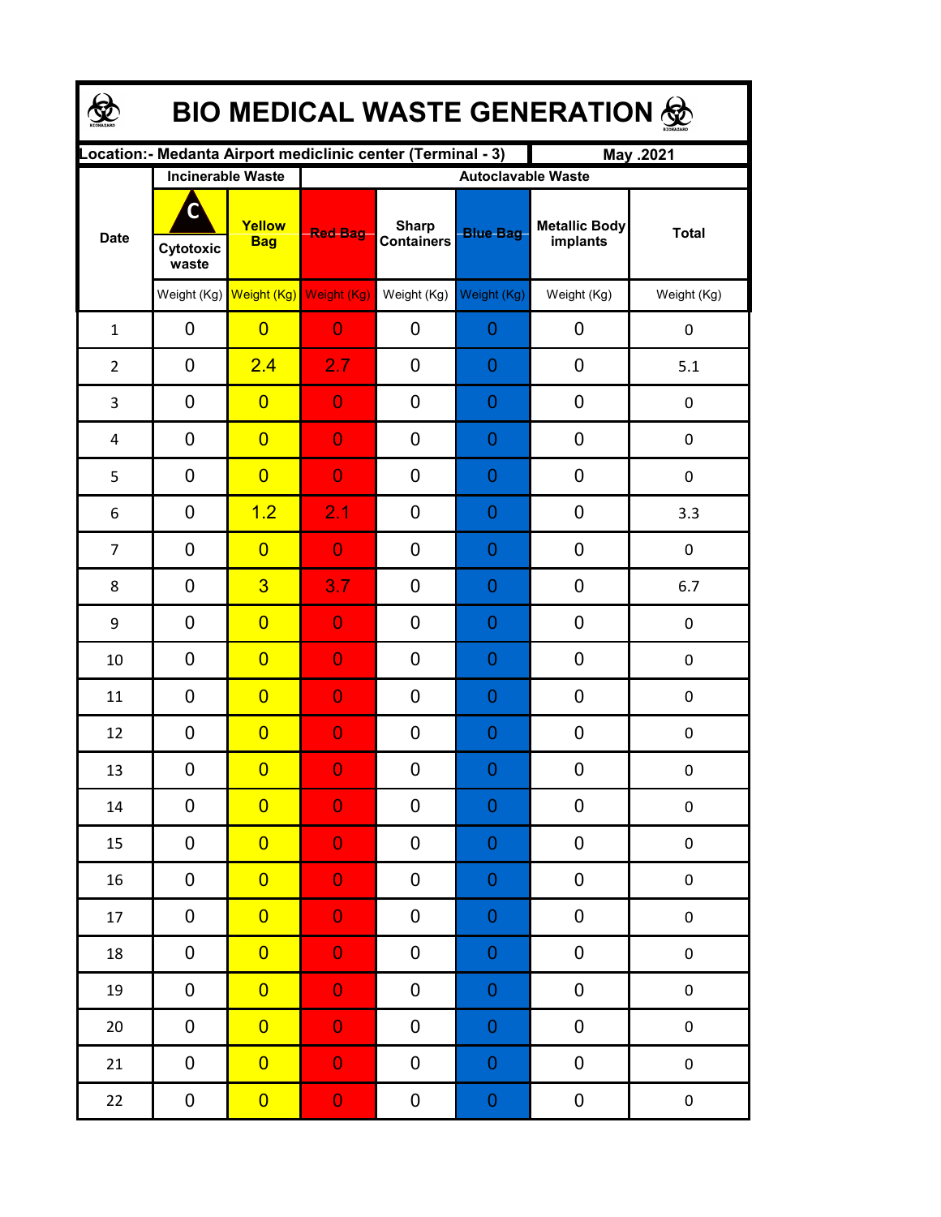| <b>BIO MEDICAL WASTE GENERATION 佥</b> |                          |                         |                                                             |                                   |                  |                                  |                  |  |  |  |  |
|---------------------------------------|--------------------------|-------------------------|-------------------------------------------------------------|-----------------------------------|------------------|----------------------------------|------------------|--|--|--|--|
|                                       |                          |                         | ocation: - Medanta Airport mediclinic center (Terminal - 3) |                                   |                  | May .2021                        |                  |  |  |  |  |
|                                       | <b>Incinerable Waste</b> |                         | <b>Autoclavable Waste</b>                                   |                                   |                  |                                  |                  |  |  |  |  |
| <b>Date</b>                           | C<br>Cytotoxic<br>waste  | Yellow<br><b>Bag</b>    | <b>Red Bag</b>                                              | <b>Sharp</b><br><b>Containers</b> | <b>Blue Bag</b>  | <b>Metallic Body</b><br>implants | <b>Total</b>     |  |  |  |  |
|                                       |                          | Weight (Kg) Weight (Kg) | Weight (Kg)                                                 | Weight (Kg)                       | Weight (Kg)      | Weight (Kg)                      | Weight (Kg)      |  |  |  |  |
| $\mathbf{1}$                          | 0                        | $\overline{0}$          | $\overline{0}$                                              | 0                                 | 0                | 0                                | 0                |  |  |  |  |
| $\overline{2}$                        | 0                        | 2.4                     | 2.7                                                         | 0                                 | $\overline{0}$   | 0                                | 5.1              |  |  |  |  |
| 3                                     | 0                        | $\overline{0}$          | $\overline{0}$                                              | 0                                 | $\mathbf 0$      | 0                                | 0                |  |  |  |  |
| 4                                     | 0                        | $\overline{0}$          | $\overline{0}$                                              | 0                                 | 0                | 0                                | 0                |  |  |  |  |
| 5                                     | 0                        | $\overline{0}$          | $\overline{0}$                                              | 0                                 | 0                | 0                                | 0                |  |  |  |  |
| 6                                     | 0                        | 1.2                     | 2.1                                                         | 0                                 | 0                | 0                                | 3.3              |  |  |  |  |
| $\overline{7}$                        | 0                        | $\overline{0}$          | $\overline{0}$                                              | 0                                 | 0                | 0                                | $\mathbf 0$      |  |  |  |  |
| 8                                     | 0                        | $\overline{3}$          | 3.7                                                         | 0                                 | 0                | 0                                | 6.7              |  |  |  |  |
| 9                                     | 0                        | $\overline{0}$          | $\overline{0}$                                              | 0                                 | 0                | 0                                | 0                |  |  |  |  |
| 10                                    | 0                        | $\overline{0}$          | $\mathbf 0$                                                 | 0                                 | 0                | 0                                | 0                |  |  |  |  |
| 11                                    | 0                        | $\overline{0}$          | $\overline{0}$                                              | 0                                 | $\overline{0}$   | 0                                | $\pmb{0}$        |  |  |  |  |
| 12                                    | $\mathbf 0$              | $\overline{0}$          | $\overline{0}$                                              | 0                                 | $\overline{0}$   | 0                                | $\pmb{0}$        |  |  |  |  |
| 13                                    | 0                        | $\overline{0}$          | $\mathbf{0}$                                                | $\boldsymbol{0}$                  | $\Omega$         | $\boldsymbol{0}$                 | $\boldsymbol{0}$ |  |  |  |  |
| 14                                    | 0                        | $\overline{0}$          | $\overline{0}$                                              | 0                                 | $\boldsymbol{0}$ | 0                                | $\pmb{0}$        |  |  |  |  |
| 15                                    | 0                        | $\overline{0}$          | $\overline{0}$                                              | 0                                 | $\boldsymbol{0}$ | 0                                | $\pmb{0}$        |  |  |  |  |
| 16                                    | 0                        | $\overline{0}$          | $\overline{0}$                                              | 0                                 | $\boldsymbol{0}$ | 0                                | $\pmb{0}$        |  |  |  |  |
| 17                                    | 0                        | $\overline{0}$          | $\overline{0}$                                              | 0                                 | $\mathbf 0$      | 0                                | $\pmb{0}$        |  |  |  |  |
| 18                                    | 0                        | $\overline{0}$          | $\overline{0}$                                              | 0                                 | $\mathbf 0$      | 0                                | $\pmb{0}$        |  |  |  |  |
| 19                                    | 0                        | $\overline{0}$          | $\overline{0}$                                              | 0                                 | $\mathbf 0$      | 0                                | $\pmb{0}$        |  |  |  |  |
| $20\,$                                | $\pmb{0}$                | $\overline{0}$          | $\overline{0}$                                              | 0                                 | $\mathbf 0$      | 0                                | $\pmb{0}$        |  |  |  |  |
| 21                                    | 0                        | $\overline{0}$          | $\overline{0}$                                              | 0                                 | $\mathbf 0$      | 0                                | $\pmb{0}$        |  |  |  |  |
| 22                                    | $\boldsymbol{0}$         | $\overline{0}$          | $\mathbf{0}$                                                | 0                                 | $\boldsymbol{0}$ | $\boldsymbol{0}$                 | $\pmb{0}$        |  |  |  |  |